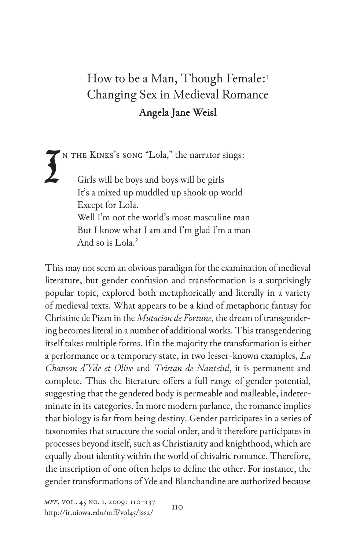## How to be a Man, Though Female:<sup>1</sup> Changing Sex in Medieval Romance **Angela Jane Weisl**

N THE KINKS'S SONG "Lola," the narrator sings: Girls will be boys and boys will be girls It's a mixed up muddled up shook up world Except for Lola. Well I'm not the world's most masculine man But I know what I am and I'm glad I'm a man And so is Lola.2 I

This may not seem an obvious paradigm for the examination of medieval literature, but gender confusion and transformation is a surprisingly popular topic, explored both metaphorically and literally in a variety of medieval texts. What appears to be a kind of metaphoric fantasy for Christine de Pizan in the *Mutacion de Fortune*, the dream of transgendering becomes literal in a number of additional works. This transgendering itself takes multiple forms. If in the majority the transformation is either a performance or a temporary state, in two lesser-known examples, *La Chanson d'Yde et Olive* and *Tristan de Nanteiul*, it is permanent and complete. Thus the literature offers a full range of gender potential, suggesting that the gendered body is permeable and malleable, indeterminate in its categories. In more modern parlance, the romance implies that biology is far from being destiny. Gender participates in a series of taxonomies that structure the social order, and it therefore participates in processes beyond itself, such as Christianity and knighthood, which are equally about identity within the world of chivalric romance. Therefore, the inscription of one often helps to define the other. For instance, the gender transformations of Yde and Blanchandine are authorized because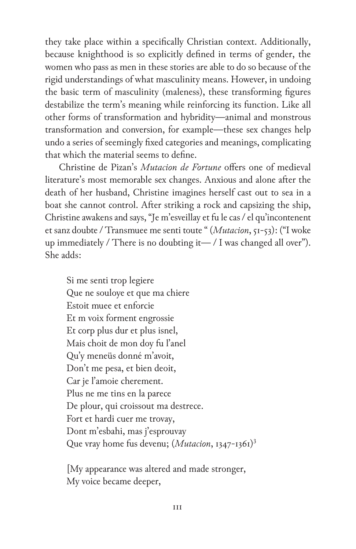they take place within a specifically Christian context. Additionally, because knighthood is so explicitly defined in terms of gender, the women who pass as men in these stories are able to do so because of the rigid understandings of what masculinity means. However, in undoing the basic term of masculinity (maleness), these transforming figures destabilize the term's meaning while reinforcing its function. Like all other forms of transformation and hybridity—animal and monstrous transformation and conversion, for example—these sex changes help undo a series of seemingly fixed categories and meanings, complicating that which the material seems to define.

 Christine de Pizan's *Mutacion de Fortune* offers one of medieval literature's most memorable sex changes. Anxious and alone after the death of her husband, Christine imagines herself cast out to sea in a boat she cannot control. After striking a rock and capsizing the ship, Christine awakens and says, "Je m'esveillay et fu le cas / el qu'incontenent et sanz doubte / Transmuee me senti toute " (*Mutacion*, 51-53): ("I woke up immediately / There is no doubting it— / I was changed all over"). She adds:

Si me senti trop legiere Que ne souloye et que ma chiere Estoit muee et enforcie Et m voix forment engrossie Et corp plus dur et plus isnel, Mais choit de mon doy fu l'anel Qu'y meneüs donné m'avoit, Don't me pesa, et bien deoit, Car je l'amoie cherement. Plus ne me tins en la parece De plour, qui croissout ma destrece. Fort et hardi cuer me trovay, Dont m'esbahi, mas j'esprouvay Que vray home fus devenu; (Mutacion, 1347-1361)<sup>3</sup>

[My appearance was altered and made stronger, My voice became deeper,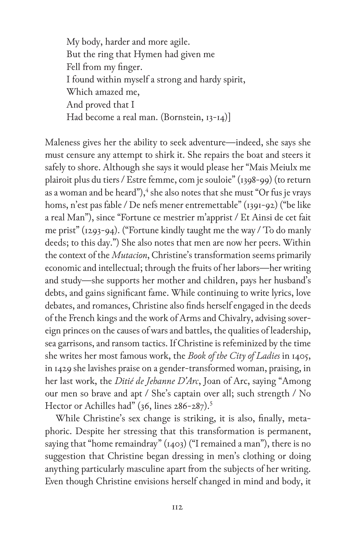My body, harder and more agile. But the ring that Hymen had given me Fell from my finger. I found within myself a strong and hardy spirit, Which amazed me, And proved that I Had become a real man. (Bornstein, 13-14)]

Maleness gives her the ability to seek adventure—indeed, she says she must censure any attempt to shirk it. She repairs the boat and steers it safely to shore. Although she says it would please her "Mais Meiulx me plairoit plus du tiers / Estre femme, com je souloie" (1398-99) (to return as a woman and be heard"),<sup>4</sup> she also notes that she must "Or fus je vrays homs, n'est pas fable / De nefs mener entremettable" (1391-92) ("be like a real Man"), since "Fortune ce mestrier m'apprist / Et Ainsi de cet fait me prist" (1293-94). ("Fortune kindly taught me the way / To do manly deeds; to this day.") She also notes that men are now her peers. Within the context of the *Mutacion*, Christine's transformation seems primarily economic and intellectual; through the fruits of her labors—her writing and study—she supports her mother and children, pays her husband's debts, and gains significant fame. While continuing to write lyrics, love debates, and romances, Christine also finds herself engaged in the deeds of the French kings and the work of Arms and Chivalry, advising sovereign princes on the causes of wars and battles, the qualities of leadership, sea garrisons, and ransom tactics. If Christine is refeminized by the time she writes her most famous work, the *Book of the City of Ladies* in 1405, in 1429 she lavishes praise on a gender-transformed woman, praising, in her last work, the *Ditié de Jehanne D'Arc*, Joan of Arc, saying "Among our men so brave and apt / She's captain over all; such strength / No Hector or Achilles had"  $(36, \text{lines } 286 - 287).$ <sup>5</sup>

While Christine's sex change is striking, it is also, finally, metaphoric. Despite her stressing that this transformation is permanent, saying that "home remaindray" (1403) ("I remained a man"), there is no suggestion that Christine began dressing in men's clothing or doing anything particularly masculine apart from the subjects of her writing. Even though Christine envisions herself changed in mind and body, it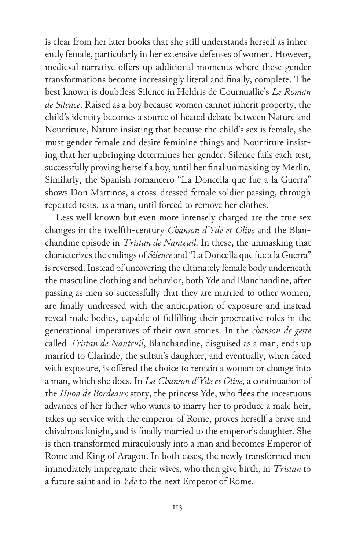is clear from her later books that she still understands herself as inherently female, particularly in her extensive defenses of women. However, medieval narrative offers up additional moments where these gender transformations become increasingly literal and finally, complete. The best known is doubtless Silence in Heldris de Cournuallie's *Le Roman de Silence*. Raised as a boy because women cannot inherit property, the child's identity becomes a source of heated debate between Nature and Nourriture, Nature insisting that because the child's sex is female, she must gender female and desire feminine things and Nourriture insisting that her upbringing determines her gender. Silence fails each test, successfully proving herself a boy, until her final unmasking by Merlin. Similarly, the Spanish romancero "La Doncella que fue a la Guerra" shows Don Martinos, a cross-dressed female soldier passing, through repeated tests, as a man, until forced to remove her clothes.

Less well known but even more intensely charged are the true sex changes in the twelfth-century *Chanson d'Yde et Olive* and the Blanchandine episode in *Tristan de Nanteuil.* In these, the unmasking that characterizes the endings of *Silence* and "La Doncella que fue a la Guerra" is reversed. Instead of uncovering the ultimately female body underneath the masculine clothing and behavior, both Yde and Blanchandine, after passing as men so successfully that they are married to other women, are finally undressed with the anticipation of exposure and instead reveal male bodies, capable of fulfilling their procreative roles in the generational imperatives of their own stories. In the *chanson de geste* called *Tristan de Nanteuil*, Blanchandine, disguised as a man, ends up married to Clarinde, the sultan's daughter, and eventually, when faced with exposure, is offered the choice to remain a woman or change into a man, which she does. In *La Chanson d'Yde et Olive*, a continuation of the *Huon de Bordeaux* story, the princess Yde, who flees the incestuous advances of her father who wants to marry her to produce a male heir, takes up service with the emperor of Rome, proves herself a brave and chivalrous knight, and is finally married to the emperor's daughter. She is then transformed miraculously into a man and becomes Emperor of Rome and King of Aragon. In both cases, the newly transformed men immediately impregnate their wives, who then give birth, in *Tristan* to a future saint and in *Yde* to the next Emperor of Rome.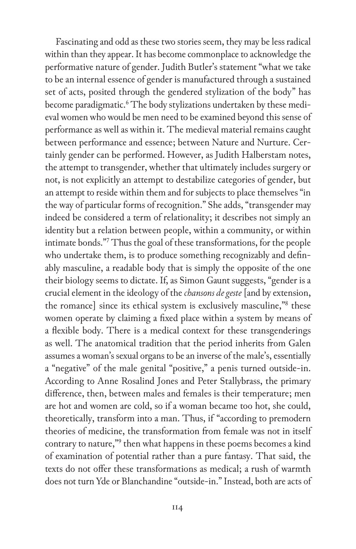Fascinating and odd as these two stories seem, they may be less radical within than they appear. It has become commonplace to acknowledge the performative nature of gender. Judith Butler's statement "what we take to be an internal essence of gender is manufactured through a sustained set of acts, posited through the gendered stylization of the body" has become paradigmatic.<sup>6</sup> The body stylizations undertaken by these medieval women who would be men need to be examined beyond this sense of performance as well as within it. The medieval material remains caught between performance and essence; between Nature and Nurture. Certainly gender can be performed. However, as Judith Halberstam notes, the attempt to transgender, whether that ultimately includes surgery or not, is not explicitly an attempt to destabilize categories of gender, but an attempt to reside within them and for subjects to place themselves "in the way of particular forms of recognition." She adds, "transgender may indeed be considered a term of relationality; it describes not simply an identity but a relation between people, within a community, or within intimate bonds."7 Thus the goal of these transformations, for the people who undertake them, is to produce something recognizably and definably masculine, a readable body that is simply the opposite of the one their biology seems to dictate. If, as Simon Gaunt suggests, "gender is a crucial element in the ideology of the *chansons de geste* [and by extension, the romance] since its ethical system is exclusively masculine,"8 these women operate by claiming a fixed place within a system by means of a flexible body. There is a medical context for these transgenderings as well. The anatomical tradition that the period inherits from Galen assumes a woman's sexual organs to be an inverse of the male's, essentially a "negative" of the male genital "positive," a penis turned outside-in. According to Anne Rosalind Jones and Peter Stallybrass, the primary difference, then, between males and females is their temperature; men are hot and women are cold, so if a woman became too hot, she could, theoretically, transform into a man. Thus, if "according to premodern theories of medicine, the transformation from female was not in itself contrary to nature,"<sup>9</sup> then what happens in these poems becomes a kind of examination of potential rather than a pure fantasy. That said, the texts do not offer these transformations as medical; a rush of warmth does not turn Yde or Blanchandine "outside-in." Instead, both are acts of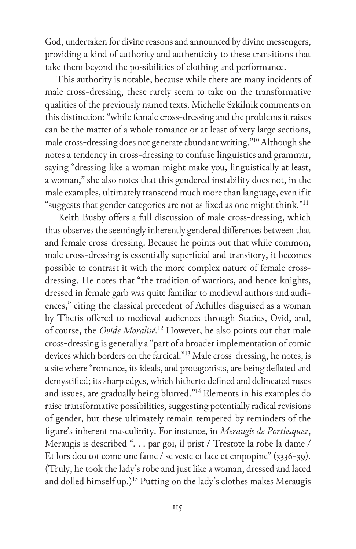God, undertaken for divine reasons and announced by divine messengers, providing a kind of authority and authenticity to these transitions that take them beyond the possibilities of clothing and performance.

This authority is notable, because while there are many incidents of male cross-dressing, these rarely seem to take on the transformative qualities of the previously named texts. Michelle Szkilnik comments on this distinction: "while female cross-dressing and the problems it raises can be the matter of a whole romance or at least of very large sections, male cross-dressing does not generate abundant writing."10 Although she notes a tendency in cross-dressing to confuse linguistics and grammar, saying "dressing like a woman might make you, linguistically at least, a woman," she also notes that this gendered instability does not, in the male examples, ultimately transcend much more than language, even if it "suggests that gender categories are not as fixed as one might think."11

 Keith Busby offers a full discussion of male cross-dressing, which thus observes the seemingly inherently gendered differences between that and female cross-dressing. Because he points out that while common, male cross-dressing is essentially superficial and transitory, it becomes possible to contrast it with the more complex nature of female crossdressing. He notes that "the tradition of warriors, and hence knights, dressed in female garb was quite familiar to medieval authors and audiences," citing the classical precedent of Achilles disguised as a woman by Thetis offered to medieval audiences through Statius, Ovid, and, of course, the *Ovide Moralisé*. 12 However, he also points out that male cross-dressing is generally a "part of a broader implementation of comic devices which borders on the farcical."13 Male cross-dressing, he notes, is a site where "romance, its ideals, and protagonists, are being deflated and demystified; its sharp edges, which hitherto defined and delineated ruses and issues, are gradually being blurred."14 Elements in his examples do raise transformative possibilities, suggesting potentially radical revisions of gender, but these ultimately remain tempered by reminders of the figure's inherent masculinity. For instance, in *Meraugis de Portlesquez*, Meraugis is described ". . . par goi, il prist / Trestote la robe la dame / Et lors dou tot come une fame / se veste et lace et empopine" (3336-39). (Truly, he took the lady's robe and just like a woman, dressed and laced and dolled himself up.)<sup>15</sup> Putting on the lady's clothes makes Meraugis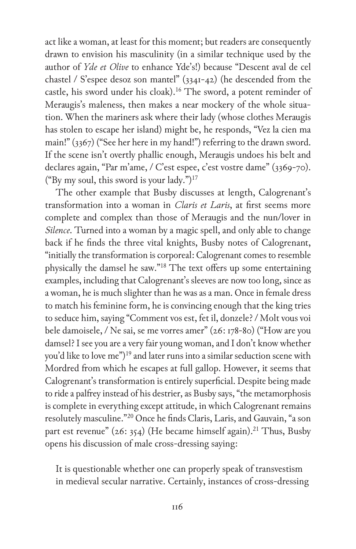act like a woman, at least for this moment; but readers are consequently drawn to envision his masculinity (in a similar technique used by the author of *Yde et Olive* to enhance Yde's!) because "Descent aval de cel chastel / S'espee desoz son mantel" (3341-42) (he descended from the castle, his sword under his cloak).<sup>16</sup> The sword, a potent reminder of Meraugis's maleness, then makes a near mockery of the whole situation. When the mariners ask where their lady (whose clothes Meraugis has stolen to escape her island) might be, he responds, "Vez la cien ma main!" (3367) ("See her here in my hand!") referring to the drawn sword. If the scene isn't overtly phallic enough, Meraugis undoes his belt and declares again, "Par m'ame, / C'est espee, c'est vostre dame" (3369-70). ("By my soul, this sword is your lady.") $17$ 

The other example that Busby discusses at length, Calogrenant's transformation into a woman in *Claris et Laris*, at first seems more complete and complex than those of Meraugis and the nun/lover in *Silence*. Turned into a woman by a magic spell, and only able to change back if he finds the three vital knights, Busby notes of Calogrenant, "initially the transformation is corporeal: Calogrenant comes to resemble physically the damsel he saw."18 The text offers up some entertaining examples, including that Calogrenant's sleeves are now too long, since as a woman, he is much slighter than he was as a man. Once in female dress to match his feminine form, he is convincing enough that the king tries to seduce him, saying "Comment vos est, fet il, donzele? / Molt vous voi bele damoisele, / Ne sai, se me vorres amer" (26: 178-80) ("How are you damsel? I see you are a very fair young woman, and I don't know whether you'd like to love me")19 and later runs into a similar seduction scene with Mordred from which he escapes at full gallop. However, it seems that Calogrenant's transformation is entirely superficial. Despite being made to ride a palfrey instead of his destrier, as Busby says, "the metamorphosis is complete in everything except attitude, in which Calogrenant remains resolutely masculine." 20 Once he finds Claris, Laris, and Gauvain, "a son part est revenue"  $(26: 354)$  (He became himself again).<sup>21</sup> Thus, Busby opens his discussion of male cross-dressing saying:

It is questionable whether one can properly speak of transvestism in medieval secular narrative. Certainly, instances of cross-dressing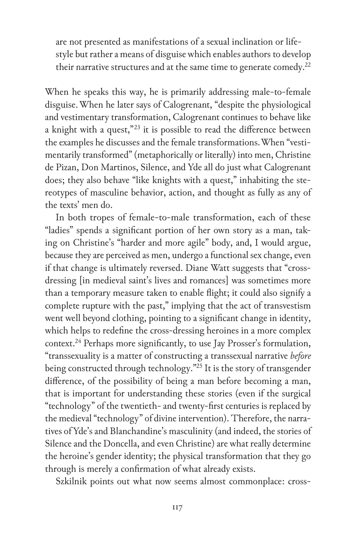are not presented as manifestations of a sexual inclination or lifestyle but rather a means of disguise which enables authors to develop their narrative structures and at the same time to generate comedy.<sup>22</sup>

When he speaks this way, he is primarily addressing male-to-female disguise. When he later says of Calogrenant, "despite the physiological and vestimentary transformation, Calogrenant continues to behave like a knight with a quest," $^{23}$  it is possible to read the difference between the examples he discusses and the female transformations. When "vestimentarily transformed" (metaphorically or literally) into men, Christine de Pizan, Don Martinos, Silence, and Yde all do just what Calogrenant does; they also behave "like knights with a quest," inhabiting the stereotypes of masculine behavior, action, and thought as fully as any of the texts' men do.

In both tropes of female-to-male transformation, each of these "ladies" spends a significant portion of her own story as a man, taking on Christine's "harder and more agile" body, and, I would argue, because they are perceived as men, undergo a functional sex change, even if that change is ultimately reversed. Diane Watt suggests that "crossdressing [in medieval saint's lives and romances] was sometimes more than a temporary measure taken to enable flight; it could also signify a complete rupture with the past," implying that the act of transvestism went well beyond clothing, pointing to a significant change in identity, which helps to redefine the cross-dressing heroines in a more complex context.24 Perhaps more significantly, to use Jay Prosser's formulation, "transsexuality is a matter of constructing a transsexual narrative *before*  being constructed through technology."<sup>25</sup> It is the story of transgender difference, of the possibility of being a man before becoming a man, that is important for understanding these stories (even if the surgical "technology" of the twentieth- and twenty-first centuries is replaced by the medieval "technology" of divine intervention). Therefore, the narratives of Yde's and Blanchandine's masculinity (and indeed, the stories of Silence and the Doncella, and even Christine) are what really determine the heroine's gender identity; the physical transformation that they go through is merely a confirmation of what already exists.

Szkilnik points out what now seems almost commonplace: cross-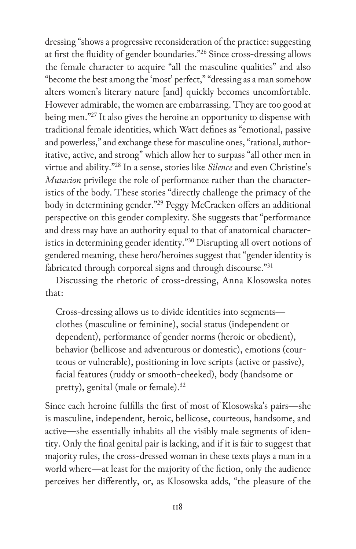dressing "shows a progressive reconsideration of the practice: suggesting at first the fluidity of gender boundaries."26 Since cross-dressing allows the female character to acquire "all the masculine qualities" and also "become the best among the 'most' perfect," "dressing as a man somehow alters women's literary nature [and] quickly becomes uncomfortable. However admirable, the women are embarrassing. They are too good at being men."27 It also gives the heroine an opportunity to dispense with traditional female identities, which Watt defines as "emotional, passive and powerless," and exchange these for masculine ones, "rational, authoritative, active, and strong" which allow her to surpass "all other men in virtue and ability."28 In a sense, stories like *Silence* and even Christine's *Mutacion* privilege the role of performance rather than the characteristics of the body. These stories "directly challenge the primacy of the body in determining gender."29 Peggy McCracken offers an additional perspective on this gender complexity. She suggests that "performance and dress may have an authority equal to that of anatomical characteristics in determining gender identity."30 Disrupting all overt notions of gendered meaning, these hero/heroines suggest that "gender identity is fabricated through corporeal signs and through discourse."31

Discussing the rhetoric of cross-dressing, Anna Klosowska notes that:

Cross-dressing allows us to divide identities into segments clothes (masculine or feminine), social status (independent or dependent), performance of gender norms (heroic or obedient), behavior (bellicose and adventurous or domestic), emotions (courteous or vulnerable), positioning in love scripts (active or passive), facial features (ruddy or smooth-cheeked), body (handsome or pretty), genital (male or female).<sup>32</sup>

Since each heroine fulfills the first of most of Klosowska's pairs—she is masculine, independent, heroic, bellicose, courteous, handsome, and active—she essentially inhabits all the visibly male segments of identity. Only the final genital pair is lacking, and if it is fair to suggest that majority rules, the cross-dressed woman in these texts plays a man in a world where—at least for the majority of the fiction, only the audience perceives her differently, or, as Klosowska adds, "the pleasure of the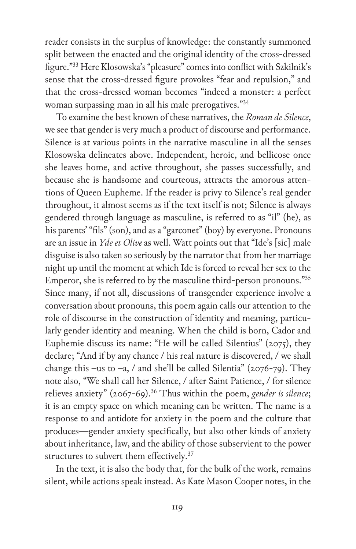reader consists in the surplus of knowledge: the constantly summoned split between the enacted and the original identity of the cross-dressed figure."33 Here Klosowska's "pleasure" comes into conflict with Szkilnik's sense that the cross-dressed figure provokes "fear and repulsion," and that the cross-dressed woman becomes "indeed a monster: a perfect woman surpassing man in all his male prerogatives."<sup>34</sup>

To examine the best known of these narratives, the *Roman de Silence*, we see that gender is very much a product of discourse and performance. Silence is at various points in the narrative masculine in all the senses Klosowska delineates above. Independent, heroic, and bellicose once she leaves home, and active throughout, she passes successfully, and because she is handsome and courteous, attracts the amorous attentions of Queen Eupheme. If the reader is privy to Silence's real gender throughout, it almost seems as if the text itself is not; Silence is always gendered through language as masculine, is referred to as "il" (he), as his parents' "fils" (son), and as a "garconet" (boy) by everyone. Pronouns are an issue in *Yde et Olive* as well. Watt points out that "Ide's [sic] male disguise is also taken so seriously by the narrator that from her marriage night up until the moment at which Ide is forced to reveal her sex to the Emperor, she is referred to by the masculine third-person pronouns."35 Since many, if not all, discussions of transgender experience involve a conversation about pronouns, this poem again calls our attention to the role of discourse in the construction of identity and meaning, particularly gender identity and meaning. When the child is born, Cador and Euphemie discuss its name: "He will be called Silentius" (2075), they declare; "And if by any chance / his real nature is discovered, / we shall change this –us to –a,  $\ell$  and she'll be called Silentia" (2076-79). They note also, "We shall call her Silence, / after Saint Patience, / for silence relieves anxiety" (2067-69).36 Thus within the poem, *gender is silence*; it is an empty space on which meaning can be written. The name is a response to and antidote for anxiety in the poem and the culture that produces—gender anxiety specifically, but also other kinds of anxiety about inheritance, law, and the ability of those subservient to the power structures to subvert them effectively.<sup>37</sup>

In the text, it is also the body that, for the bulk of the work, remains silent, while actions speak instead. As Kate Mason Cooper notes, in the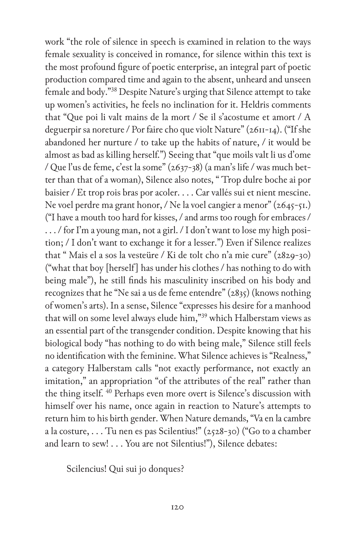work "the role of silence in speech is examined in relation to the ways female sexuality is conceived in romance, for silence within this text is the most profound figure of poetic enterprise, an integral part of poetic production compared time and again to the absent, unheard and unseen female and body."38 Despite Nature's urging that Silence attempt to take up women's activities, he feels no inclination for it. Heldris comments that "Que poi li valt mains de la mort / Se il s'acostume et amort / A deguerpir sa noreture / Por faire cho que violt Nature" (2611-14). ("If she abandoned her nurture / to take up the habits of nature, / it would be almost as bad as killing herself.") Seeing that "que moils valt li us d'ome / Que l'us de feme, c'est la some" (2637-38) (a man's life / was much better than that of a woman), Silence also notes, " Trop dulre boche ai por baisier / Et trop rois bras por acoler. . . . Car vallés sui et nient mescine. Ne voel perdre ma grant honor, / Ne la voel cangier a menor" (2645-51.) ("I have a mouth too hard for kisses, / and arms too rough for embraces / . . . / for I'm a young man, not a girl. / I don't want to lose my high position; / I don't want to exchange it for a lesser.") Even if Silence realizes that " Mais el a sos la vesteüre / Ki de tolt cho n'a mie cure" (2829-30) ("what that boy [herself] has under his clothes / has nothing to do with being male"), he still finds his masculinity inscribed on his body and recognizes that he "Ne sai a us de feme entendre" (2835) (knows nothing of women's arts). In a sense, Silence "expresses his desire for a manhood that will on some level always elude him,"<sup>39</sup> which Halberstam views as an essential part of the transgender condition. Despite knowing that his biological body "has nothing to do with being male," Silence still feels no identification with the feminine. What Silence achieves is "Realness," a category Halberstam calls "not exactly performance, not exactly an imitation," an appropriation "of the attributes of the real" rather than the thing itself. 40 Perhaps even more overt is Silence's discussion with himself over his name, once again in reaction to Nature's attempts to return him to his birth gender. When Nature demands, "Va en la cambre a la costure, . . . Tu nen es pas Scilentius!" (2528-30) ("Go to a chamber and learn to sew! . . . You are not Silentius!"), Silence debates:

Scilencius! Qui sui jo donques?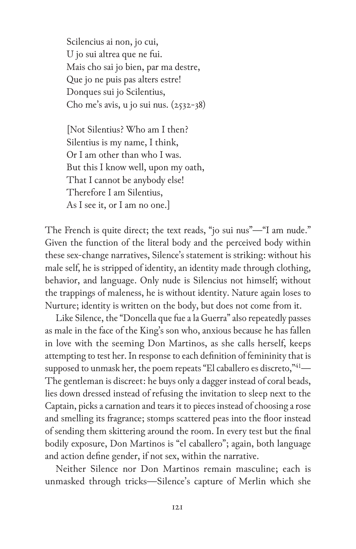Scilencius ai non, jo cui, U jo sui altrea que ne fui. Mais cho sai jo bien, par ma destre, Que jo ne puis pas alters estre! Donques sui jo Scilentius, Cho me's avis, u jo sui nus. (2532-38)

[Not Silentius? Who am I then? Silentius is my name, I think, Or I am other than who I was. But this I know well, upon my oath, That I cannot be anybody else! Therefore I am Silentius, As I see it, or I am no one.]

The French is quite direct; the text reads, "jo sui nus"—"I am nude." Given the function of the literal body and the perceived body within these sex-change narratives, Silence's statement is striking: without his male self, he is stripped of identity, an identity made through clothing, behavior, and language. Only nude is Silencius not himself; without the trappings of maleness, he is without identity. Nature again loses to Nurture; identity is written on the body, but does not come from it.

Like Silence, the "Doncella que fue a la Guerra" also repeatedly passes as male in the face of the King's son who, anxious because he has fallen in love with the seeming Don Martinos, as she calls herself, keeps attempting to test her. In response to each definition of femininity that is supposed to unmask her, the poem repeats "El caballero es discreto,"  $44-$ The gentleman is discreet: he buys only a dagger instead of coral beads, lies down dressed instead of refusing the invitation to sleep next to the Captain, picks a carnation and tears it to pieces instead of choosing a rose and smelling its fragrance; stomps scattered peas into the floor instead of sending them skittering around the room. In every test but the final bodily exposure, Don Martinos is "el caballero"; again, both language and action define gender, if not sex, within the narrative.

Neither Silence nor Don Martinos remain masculine; each is unmasked through tricks—Silence's capture of Merlin which she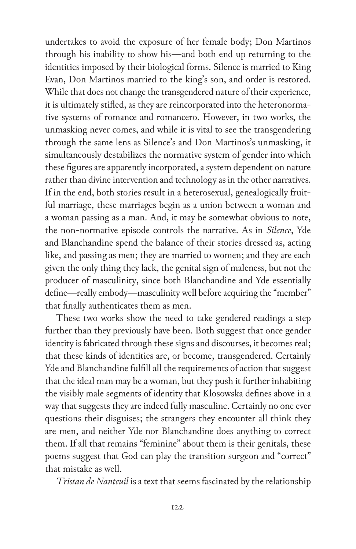undertakes to avoid the exposure of her female body; Don Martinos through his inability to show his—and both end up returning to the identities imposed by their biological forms. Silence is married to King Evan, Don Martinos married to the king's son, and order is restored. While that does not change the transgendered nature of their experience, it is ultimately stifled, as they are reincorporated into the heteronormative systems of romance and romancero. However, in two works, the unmasking never comes, and while it is vital to see the transgendering through the same lens as Silence's and Don Martinos's unmasking, it simultaneously destabilizes the normative system of gender into which these figures are apparently incorporated, a system dependent on nature rather than divine intervention and technology as in the other narratives. If in the end, both stories result in a heterosexual, genealogically fruitful marriage, these marriages begin as a union between a woman and a woman passing as a man. And, it may be somewhat obvious to note, the non-normative episode controls the narrative. As in *Silence*, Yde and Blanchandine spend the balance of their stories dressed as, acting like, and passing as men; they are married to women; and they are each given the only thing they lack, the genital sign of maleness, but not the producer of masculinity, since both Blanchandine and Yde essentially define—really embody—masculinity well before acquiring the "member" that finally authenticates them as men.

These two works show the need to take gendered readings a step further than they previously have been. Both suggest that once gender identity is fabricated through these signs and discourses, it becomes real; that these kinds of identities are, or become, transgendered. Certainly Yde and Blanchandine fulfill all the requirements of action that suggest that the ideal man may be a woman, but they push it further inhabiting the visibly male segments of identity that Klosowska defines above in a way that suggests they are indeed fully masculine. Certainly no one ever questions their disguises; the strangers they encounter all think they are men, and neither Yde nor Blanchandine does anything to correct them. If all that remains "feminine" about them is their genitals, these poems suggest that God can play the transition surgeon and "correct" that mistake as well.

*Tristan de Nanteuil* is a text that seems fascinated by the relationship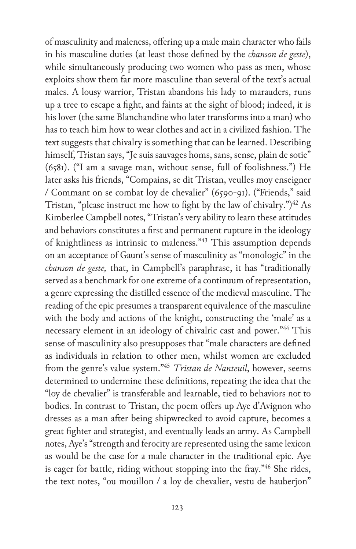of masculinity and maleness, offering up a male main character who fails in his masculine duties (at least those defined by the *chanson de geste*), while simultaneously producing two women who pass as men, whose exploits show them far more masculine than several of the text's actual males. A lousy warrior, Tristan abandons his lady to marauders, runs up a tree to escape a fight, and faints at the sight of blood; indeed, it is his lover (the same Blanchandine who later transforms into a man) who has to teach him how to wear clothes and act in a civilized fashion. The text suggests that chivalry is something that can be learned. Describing himself, Tristan says, "Je suis sauvages homs, sans, sense, plain de sotie" (6581). ("I am a savage man, without sense, full of foolishness.") He later asks his friends, "Compains, se dit Tristan, veulles moy enseigner / Commant on se combat loy de chevalier" (6590-91). ("Friends," said Tristan, "please instruct me how to fight by the law of chivalry.") $42$  As Kimberlee Campbell notes, "Tristan's very ability to learn these attitudes and behaviors constitutes a first and permanent rupture in the ideology of knightliness as intrinsic to maleness."43 This assumption depends on an acceptance of Gaunt's sense of masculinity as "monologic" in the *chanson de geste,* that, in Campbell's paraphrase, it has "traditionally served as a benchmark for one extreme of a continuum of representation, a genre expressing the distilled essence of the medieval masculine. The reading of the epic presumes a transparent equivalence of the masculine with the body and actions of the knight, constructing the 'male' as a necessary element in an ideology of chivalric cast and power."44 This sense of masculinity also presupposes that "male characters are defined as individuals in relation to other men, whilst women are excluded from the genre's value system."45 *Tristan de Nanteuil*, however, seems determined to undermine these definitions, repeating the idea that the "loy de chevalier" is transferable and learnable, tied to behaviors not to bodies. In contrast to Tristan, the poem offers up Aye d'Avignon who dresses as a man after being shipwrecked to avoid capture, becomes a great fighter and strategist, and eventually leads an army. As Campbell notes, Aye's "strength and ferocity are represented using the same lexicon as would be the case for a male character in the traditional epic. Aye is eager for battle, riding without stopping into the fray."<sup>46</sup> She rides, the text notes, "ou mouillon / a loy de chevalier, vestu de hauberjon"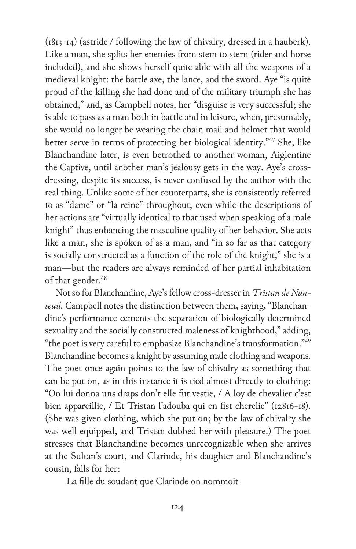(1813-14) (astride / following the law of chivalry, dressed in a hauberk). Like a man, she splits her enemies from stem to stern (rider and horse included), and she shows herself quite able with all the weapons of a medieval knight: the battle axe, the lance, and the sword. Aye "is quite proud of the killing she had done and of the military triumph she has obtained," and, as Campbell notes, her "disguise is very successful; she is able to pass as a man both in battle and in leisure, when, presumably, she would no longer be wearing the chain mail and helmet that would better serve in terms of protecting her biological identity."<sup>47</sup> She, like Blanchandine later, is even betrothed to another woman, Aiglentine the Captive, until another man's jealousy gets in the way. Aye's crossdressing, despite its success, is never confused by the author with the real thing. Unlike some of her counterparts, she is consistently referred to as "dame" or "la reine" throughout, even while the descriptions of her actions are "virtually identical to that used when speaking of a male knight" thus enhancing the masculine quality of her behavior. She acts like a man, she is spoken of as a man, and "in so far as that category is socially constructed as a function of the role of the knight," she is a man—but the readers are always reminded of her partial inhabitation of that gender.<sup>48</sup>

Not so for Blanchandine, Aye's fellow cross-dresser in *Tristan de Nanteuil.* Campbell notes the distinction between them, saying, "Blanchandine's performance cements the separation of biologically determined sexuality and the socially constructed maleness of knighthood," adding, "the poet is very careful to emphasize Blanchandine's transformation."49 Blanchandine becomes a knight by assuming male clothing and weapons. The poet once again points to the law of chivalry as something that can be put on, as in this instance it is tied almost directly to clothing: "On lui donna uns draps don't elle fut vestie, / A loy de chevalier c'est bien appareillie, / Et Tristan l'adouba qui en fist cherelie" (12816-18). (She was given clothing, which she put on; by the law of chivalry she was well equipped, and Tristan dubbed her with pleasure.) The poet stresses that Blanchandine becomes unrecognizable when she arrives at the Sultan's court, and Clarinde, his daughter and Blanchandine's cousin, falls for her:

La fille du soudant que Clarinde on nommoit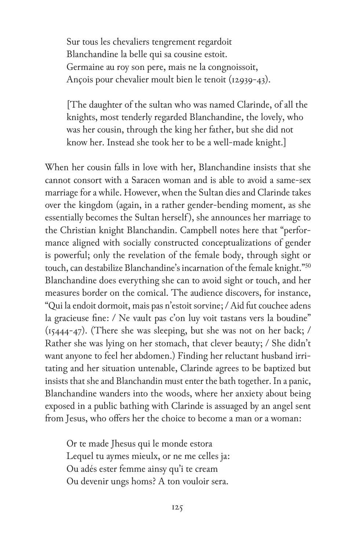Sur tous les chevaliers tengrement regardoit Blanchandine la belle qui sa cousine estoit. Germaine au roy son pere, mais ne la congnoissoit, Ançois pour chevalier moult bien le tenoit (12939-43).

[The daughter of the sultan who was named Clarinde, of all the knights, most tenderly regarded Blanchandine, the lovely, who was her cousin, through the king her father, but she did not know her. Instead she took her to be a well-made knight.]

When her cousin falls in love with her, Blanchandine insists that she cannot consort with a Saracen woman and is able to avoid a same-sex marriage for a while. However, when the Sultan dies and Clarinde takes over the kingdom (again, in a rather gender-bending moment, as she essentially becomes the Sultan herself ), she announces her marriage to the Christian knight Blanchandin. Campbell notes here that "performance aligned with socially constructed conceptualizations of gender is powerful; only the revelation of the female body, through sight or touch, can destabilize Blanchandine's incarnation of the female knight."50 Blanchandine does everything she can to avoid sight or touch, and her measures border on the comical. The audience discovers, for instance, "Qui la endoit dormoit, mais pas n'estoit sorvine; / Aid fut couchee adens la gracieuse fine: / Ne vault pas c'on luy voit tastans vers la boudine" (15444-47). (There she was sleeping, but she was not on her back; / Rather she was lying on her stomach, that clever beauty; / She didn't want anyone to feel her abdomen.) Finding her reluctant husband irritating and her situation untenable, Clarinde agrees to be baptized but insists that she and Blanchandin must enter the bath together. In a panic, Blanchandine wanders into the woods, where her anxiety about being exposed in a public bathing with Clarinde is assuaged by an angel sent from Jesus, who offers her the choice to become a man or a woman:

Or te made Jhesus qui le monde estora Lequel tu aymes mieulx, or ne me celles ja: Ou adés ester femme ainsy qu'i te cream Ou devenir ungs homs? A ton vouloir sera.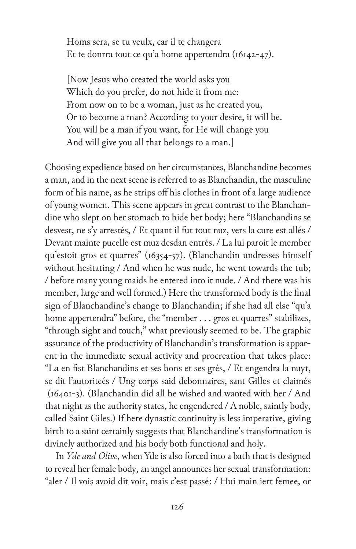Homs sera, se tu veulx, car il te changera Et te donrra tout ce qu'a home appertendra (16142-47).

[Now Jesus who created the world asks you Which do you prefer, do not hide it from me: From now on to be a woman, just as he created you, Or to become a man? According to your desire, it will be. You will be a man if you want, for He will change you And will give you all that belongs to a man.]

Choosing expedience based on her circumstances, Blanchandine becomes a man, and in the next scene is referred to as Blanchandin, the masculine form of his name, as he strips off his clothes in front of a large audience of young women. This scene appears in great contrast to the Blanchandine who slept on her stomach to hide her body; here "Blanchandins se desvest, ne s'y arrestés, / Et quant il fut tout nuz, vers la cure est allés / Devant mainte pucelle est muz desdan entrés. / La lui paroit le member qu'estoit gros et quarres" (16354-57). (Blanchandin undresses himself without hesitating / And when he was nude, he went towards the tub; / before many young maids he entered into it nude. / And there was his member, large and well formed.) Here the transformed body is the final sign of Blanchandine's change to Blanchandin; if she had all else "qu'a home appertendra" before, the "member . . . gros et quarres" stabilizes, "through sight and touch," what previously seemed to be. The graphic assurance of the productivity of Blanchandin's transformation is apparent in the immediate sexual activity and procreation that takes place: "La en fist Blanchandins et ses bons et ses grés, / Et engendra la nuyt, se dit l'autoriteés / Ung corps said debonnaires, sant Gilles et claimés (16401-3). (Blanchandin did all he wished and wanted with her / And that night as the authority states, he engendered / A noble, saintly body, called Saint Giles.) If here dynastic continuity is less imperative, giving birth to a saint certainly suggests that Blanchandine's transformation is divinely authorized and his body both functional and holy.

In *Yde and Olive*, when Yde is also forced into a bath that is designed to reveal her female body, an angel announces her sexual transformation: "aler / Il vois avoid dit voir, mais c'est passé: / Hui main iert femee, or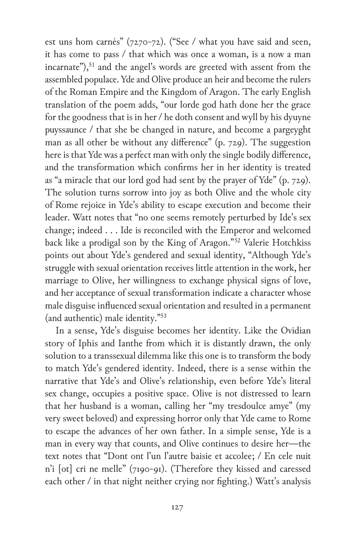est uns hom carnés" (7270-72). ("See / what you have said and seen, it has come to pass / that which was once a woman, is a now a man incarnate"), $51$  and the angel's words are greeted with assent from the assembled populace. Yde and Olive produce an heir and become the rulers of the Roman Empire and the Kingdom of Aragon. The early English translation of the poem adds, "our lorde god hath done her the grace for the goodness that is in her / he doth consent and wyll by his dyuyne puyssaunce / that she be changed in nature, and become a pargeyght man as all other be without any difference" (p. 729). The suggestion here is that Yde was a perfect man with only the single bodily difference, and the transformation which confirms her in her identity is treated as "a miracle that our lord god had sent by the prayer of Yde" (p. 729). The solution turns sorrow into joy as both Olive and the whole city of Rome rejoice in Yde's ability to escape execution and become their leader. Watt notes that "no one seems remotely perturbed by Ide's sex change; indeed . . . Ide is reconciled with the Emperor and welcomed back like a prodigal son by the King of Aragon."52 Valerie Hotchkiss points out about Yde's gendered and sexual identity, "Although Yde's struggle with sexual orientation receives little attention in the work, her marriage to Olive, her willingness to exchange physical signs of love, and her acceptance of sexual transformation indicate a character whose male disguise influenced sexual orientation and resulted in a permanent (and authentic) male identity."53

In a sense, Yde's disguise becomes her identity. Like the Ovidian story of Iphis and Ianthe from which it is distantly drawn, the only solution to a transsexual dilemma like this one is to transform the body to match Yde's gendered identity. Indeed, there is a sense within the narrative that Yde's and Olive's relationship, even before Yde's literal sex change, occupies a positive space. Olive is not distressed to learn that her husband is a woman, calling her "my tresdoulce amye" (my very sweet beloved) and expressing horror only that Yde came to Rome to escape the advances of her own father. In a simple sense, Yde is a man in every way that counts, and Olive continues to desire her—the text notes that "Dont ont l'un l'autre baisie et accolee; / En cele nuit n'i [ot] cri ne melle" (7190-91). (Therefore they kissed and caressed each other / in that night neither crying nor fighting.) Watt's analysis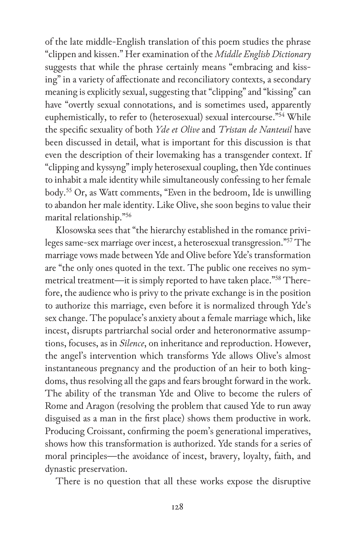of the late middle-English translation of this poem studies the phrase "clippen and kissen." Her examination of the *Middle English Dictionary* suggests that while the phrase certainly means "embracing and kissing" in a variety of affectionate and reconciliatory contexts, a secondary meaning is explicitly sexual, suggesting that "clipping" and "kissing" can have "overtly sexual connotations, and is sometimes used, apparently euphemistically, to refer to (heterosexual) sexual intercourse."54 While the specific sexuality of both *Yde et Olive* and *Tristan de Nanteuil* have been discussed in detail, what is important for this discussion is that even the description of their lovemaking has a transgender context. If "clipping and kyssyng" imply heterosexual coupling, then Yde continues to inhabit a male identity while simultaneously confessing to her female body.55 Or, as Watt comments, "Even in the bedroom, Ide is unwilling to abandon her male identity. Like Olive, she soon begins to value their marital relationship."56

Klosowska sees that "the hierarchy established in the romance privileges same-sex marriage over incest, a heterosexual transgression."57 The marriage vows made between Yde and Olive before Yde's transformation are "the only ones quoted in the text. The public one receives no symmetrical treatment—it is simply reported to have taken place."58 Therefore, the audience who is privy to the private exchange is in the position to authorize this marriage, even before it is normalized through Yde's sex change. The populace's anxiety about a female marriage which, like incest, disrupts partriarchal social order and heteronormative assumptions, focuses, as in *Silence*, on inheritance and reproduction. However, the angel's intervention which transforms Yde allows Olive's almost instantaneous pregnancy and the production of an heir to both kingdoms, thus resolving all the gaps and fears brought forward in the work. The ability of the transman Yde and Olive to become the rulers of Rome and Aragon (resolving the problem that caused Yde to run away disguised as a man in the first place) shows them productive in work. Producing Croissant, confirming the poem's generational imperatives, shows how this transformation is authorized. Yde stands for a series of moral principles—the avoidance of incest, bravery, loyalty, faith, and dynastic preservation.

There is no question that all these works expose the disruptive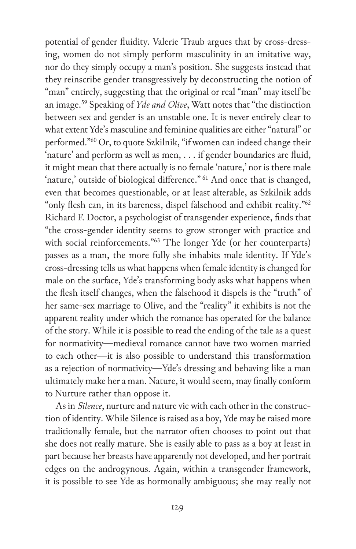potential of gender fluidity. Valerie Traub argues that by cross-dressing, women do not simply perform masculinity in an imitative way, nor do they simply occupy a man's position. She suggests instead that they reinscribe gender transgressively by deconstructing the notion of "man" entirely, suggesting that the original or real "man" may itself be an image.59 Speaking of *Yde and Olive*, Watt notes that "the distinction between sex and gender is an unstable one. It is never entirely clear to what extent Yde's masculine and feminine qualities are either "natural" or performed."60 Or, to quote Szkilnik, "if women can indeed change their 'nature' and perform as well as men, . . . if gender boundaries are fluid, it might mean that there actually is no female 'nature,' nor is there male 'nature,' outside of biological difference." <sup>61</sup> And once that is changed, even that becomes questionable, or at least alterable, as Szkilnik adds "only flesh can, in its bareness, dispel falsehood and exhibit reality."62 Richard F. Doctor, a psychologist of transgender experience, finds that "the cross-gender identity seems to grow stronger with practice and with social reinforcements."<sup>63</sup> The longer Yde (or her counterparts) passes as a man, the more fully she inhabits male identity. If Yde's cross-dressing tells us what happens when female identity is changed for male on the surface, Yde's transforming body asks what happens when the flesh itself changes, when the falsehood it dispels is the "truth" of her same-sex marriage to Olive, and the "reality" it exhibits is not the apparent reality under which the romance has operated for the balance of the story. While it is possible to read the ending of the tale as a quest for normativity—medieval romance cannot have two women married to each other—it is also possible to understand this transformation as a rejection of normativity—Yde's dressing and behaving like a man ultimately make her a man. Nature, it would seem, may finally conform to Nurture rather than oppose it.

As in *Silence*, nurture and nature vie with each other in the construction of identity. While Silence is raised as a boy, Yde may be raised more traditionally female, but the narrator often chooses to point out that she does not really mature. She is easily able to pass as a boy at least in part because her breasts have apparently not developed, and her portrait edges on the androgynous. Again, within a transgender framework, it is possible to see Yde as hormonally ambiguous; she may really not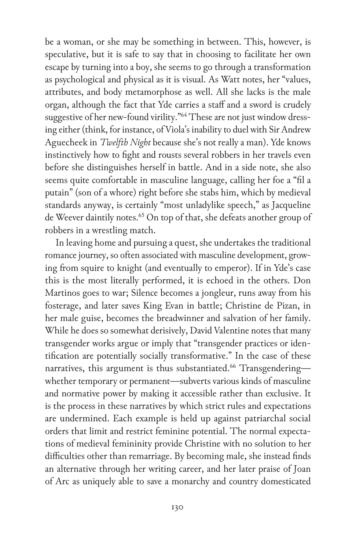be a woman, or she may be something in between. This, however, is speculative, but it is safe to say that in choosing to facilitate her own escape by turning into a boy, she seems to go through a transformation as psychological and physical as it is visual. As Watt notes, her "values, attributes, and body metamorphose as well. All she lacks is the male organ, although the fact that Yde carries a staff and a sword is crudely suggestive of her new-found virility."<sup>64</sup> These are not just window dressing either (think, for instance, of Viola's inability to duel with Sir Andrew Aguecheek in *Twelfth Night* because she's not really a man). Yde knows instinctively how to fight and rousts several robbers in her travels even before she distinguishes herself in battle. And in a side note, she also seems quite comfortable in masculine language, calling her foe a "fil a putain" (son of a whore) right before she stabs him, which by medieval standards anyway, is certainly "most unladylike speech," as Jacqueline de Weever daintily notes.<sup>65</sup> On top of that, she defeats another group of robbers in a wrestling match.

In leaving home and pursuing a quest, she undertakes the traditional romance journey, so often associated with masculine development, growing from squire to knight (and eventually to emperor). If in Yde's case this is the most literally performed, it is echoed in the others. Don Martinos goes to war; Silence becomes a jongleur, runs away from his fosterage, and later saves King Evan in battle; Christine de Pizan, in her male guise, becomes the breadwinner and salvation of her family. While he does so somewhat derisively, David Valentine notes that many transgender works argue or imply that "transgender practices or identification are potentially socially transformative." In the case of these narratives, this argument is thus substantiated.<sup>66</sup> Transgendering whether temporary or permanent—subverts various kinds of masculine and normative power by making it accessible rather than exclusive. It is the process in these narratives by which strict rules and expectations are undermined. Each example is held up against patriarchal social orders that limit and restrict feminine potential. The normal expectations of medieval femininity provide Christine with no solution to her difficulties other than remarriage. By becoming male, she instead finds an alternative through her writing career, and her later praise of Joan of Arc as uniquely able to save a monarchy and country domesticated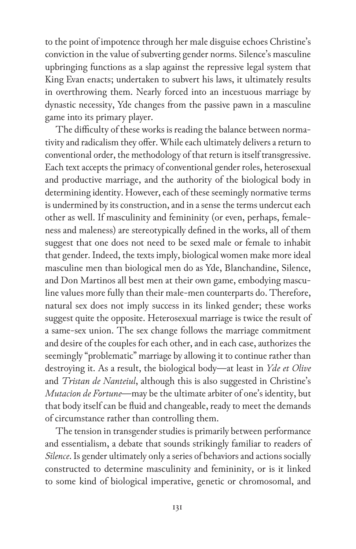to the point of impotence through her male disguise echoes Christine's conviction in the value of subverting gender norms. Silence's masculine upbringing functions as a slap against the repressive legal system that King Evan enacts; undertaken to subvert his laws, it ultimately results in overthrowing them. Nearly forced into an incestuous marriage by dynastic necessity, Yde changes from the passive pawn in a masculine game into its primary player.

The difficulty of these works is reading the balance between normativity and radicalism they offer. While each ultimately delivers a return to conventional order, the methodology of that return is itself transgressive. Each text accepts the primacy of conventional gender roles, heterosexual and productive marriage, and the authority of the biological body in determining identity. However, each of these seemingly normative terms is undermined by its construction, and in a sense the terms undercut each other as well. If masculinity and femininity (or even, perhaps, femaleness and maleness) are stereotypically defined in the works, all of them suggest that one does not need to be sexed male or female to inhabit that gender. Indeed, the texts imply, biological women make more ideal masculine men than biological men do as Yde, Blanchandine, Silence, and Don Martinos all best men at their own game, embodying masculine values more fully than their male-men counterparts do. Therefore, natural sex does not imply success in its linked gender; these works suggest quite the opposite. Heterosexual marriage is twice the result of a same-sex union. The sex change follows the marriage commitment and desire of the couples for each other, and in each case, authorizes the seemingly "problematic" marriage by allowing it to continue rather than destroying it. As a result, the biological body—at least in *Yde et Olive* and *Tristan de Nanteiul*, although this is also suggested in Christine's *Mutacion de Fortune*—may be the ultimate arbiter of one's identity, but that body itself can be fluid and changeable, ready to meet the demands of circumstance rather than controlling them.

The tension in transgender studies is primarily between performance and essentialism, a debate that sounds strikingly familiar to readers of *Silence*. Is gender ultimately only a series of behaviors and actions socially constructed to determine masculinity and femininity, or is it linked to some kind of biological imperative, genetic or chromosomal, and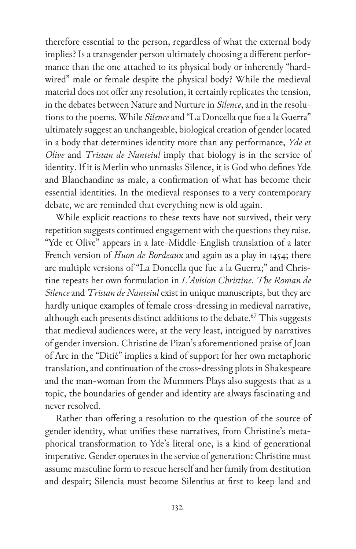therefore essential to the person, regardless of what the external body implies? Is a transgender person ultimately choosing a different performance than the one attached to its physical body or inherently "hardwired" male or female despite the physical body? While the medieval material does not offer any resolution, it certainly replicates the tension, in the debates between Nature and Nurture in *Silence*, and in the resolutions to the poems. While *Silence* and "La Doncella que fue a la Guerra" ultimately suggest an unchangeable, biological creation of gender located in a body that determines identity more than any performance, *Yde et Olive* and *Tristan de Nanteiul* imply that biology is in the service of identity. If it is Merlin who unmasks Silence, it is God who defines Yde and Blanchandine as male, a confirmation of what has become their essential identities. In the medieval responses to a very contemporary debate, we are reminded that everything new is old again.

While explicit reactions to these texts have not survived, their very repetition suggests continued engagement with the questions they raise. "Yde et Olive" appears in a late-Middle-English translation of a later French version of *Huon de Bordeaux* and again as a play in 1454; there are multiple versions of "La Doncella que fue a la Guerra;" and Christine repeats her own formulation in *L'Avision Christine*. *The Roman de Silence* and *Tristan de Nanteiul* exist in unique manuscripts, but they are hardly unique examples of female cross-dressing in medieval narrative, although each presents distinct additions to the debate.<sup>67</sup> This suggests that medieval audiences were, at the very least, intrigued by narratives of gender inversion. Christine de Pizan's aforementioned praise of Joan of Arc in the "Ditié" implies a kind of support for her own metaphoric translation, and continuation of the cross-dressing plots in Shakespeare and the man-woman from the Mummers Plays also suggests that as a topic, the boundaries of gender and identity are always fascinating and never resolved.

Rather than offering a resolution to the question of the source of gender identity, what unifies these narratives, from Christine's metaphorical transformation to Yde's literal one, is a kind of generational imperative. Gender operates in the service of generation: Christine must assume masculine form to rescue herself and her family from destitution and despair; Silencia must become Silentius at first to keep land and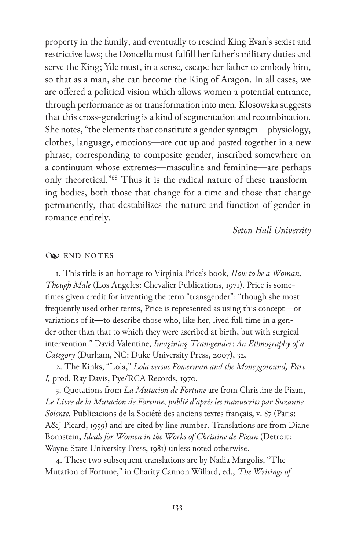property in the family, and eventually to rescind King Evan's sexist and restrictive laws; the Doncella must fulfill her father's military duties and serve the King; Yde must, in a sense, escape her father to embody him, so that as a man, she can become the King of Aragon. In all cases, we are offered a political vision which allows women a potential entrance, through performance as or transformation into men. Klosowska suggests that this cross-gendering is a kind of segmentation and recombination. She notes, "the elements that constitute a gender syntagm—physiology, clothes, language, emotions—are cut up and pasted together in a new phrase, corresponding to composite gender, inscribed somewhere on a continuum whose extremes—masculine and feminine—are perhaps only theoretical."68 Thus it is the radical nature of these transforming bodies, both those that change for a time and those that change permanently, that destabilizes the nature and function of gender in romance entirely.

*Seton Hall University*

## **O**U END NOTES

1. This title is an homage to Virginia Price's book, *How to be a Woman, Though Male* (Los Angeles: Chevalier Publications, 1971). Price is sometimes given credit for inventing the term "transgender": "though she most frequently used other terms, Price is represented as using this concept—or variations of it—to describe those who, like her, lived full time in a gender other than that to which they were ascribed at birth, but with surgical intervention." David Valentine, *Imagining Transgender*: *An Ethnography of a Category* (Durham, NC: Duke University Press, 2007), 32.

2. The Kinks, "Lola," *Lola versus Powerman and the Moneygoround, Part I,* prod. Ray Davis, Pye/RCA Records, 1970.

3. Quotations from *La Mutacion de Fortune* are from Christine de Pizan, *Le Livre de la Mutacion de Fortune*, *publié d'après les manuscrits par Suzanne Solente.* Publicacions de la Société des anciens textes français, v. 87 (Paris: A&J Picard, 1959) and are cited by line number. Translations are from Diane Bornstein, *Ideals for Women in the Works of Christine de Pizan* (Detroit: Wayne State University Press, 1981) unless noted otherwise.

4. These two subsequent translations are by Nadia Margolis, "The Mutation of Fortune," in Charity Cannon Willard, ed., *The Writings of*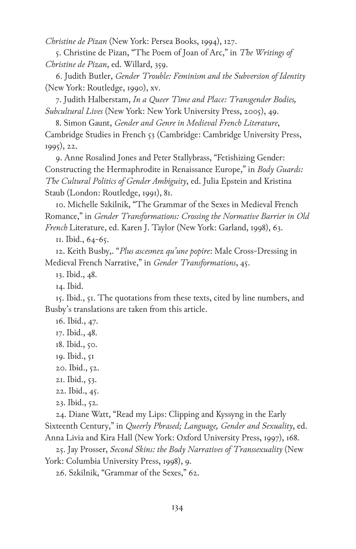*Christine de Pizan* (New York: Persea Books, 1994), 127.

5. Christine de Pizan, "The Poem of Joan of Arc," in *The Writings of Christine de Pizan*, ed. Willard, 359.

6. Judith Butler, *Gender Trouble: Feminism and the Subversion of Identity* (New York: Routledge, 1990), xv.

7. Judith Halberstam, *In a Queer Time and Place: Transgender Bodies, Subcultural Lives* (New York: New York University Press, 2005), 49.

8. Simon Gaunt, *Gender and Genre in Medieval French Literature*, Cambridge Studies in French 53 (Cambridge: Cambridge University Press, 1995), 22.

9. Anne Rosalind Jones and Peter Stallybrass, "Fetishizing Gender: Constructing the Hermaphrodite in Renaissance Europe," in *Body Guards: The Cultural Politics of Gender Ambiguity*, ed. Julia Epstein and Kristina Staub (London: Routledge, 1991), 81.

10. Michelle Szkilnik, "The Grammar of the Sexes in Medieval French Romance," in *Gender Transformations: Crossing the Normative Barrier in Old French* Literature, ed. Karen J. Taylor (New York: Garland, 1998), 63.

11. Ibid., 64-65.

12. Keith Busby,. "*Plus ascesmez qu'une popire*: Male Cross-Dressing in Medieval French Narrative," in *Gender Transformations*, 45.

13. Ibid., 48.

14. Ibid.

15. Ibid., 51. The quotations from these texts, cited by line numbers, and Busby's translations are taken from this article.

- 21. Ibid., 53.
- 22. Ibid., 45.
- 23. Ibid., 52.

24. Diane Watt, "Read my Lips: Clipping and Kyssyng in the Early Sixteenth Century," in *Queerly Phrased; Language, Gender and Sexuality*, ed. Anna Livia and Kira Hall (New York: Oxford University Press, 1997), 168.

25. Jay Prosser, *Second Skins: the Body Narratives of Transsexuality* (New York: Columbia University Press, 1998), 9.

26. Szkilnik, "Grammar of the Sexes," 62.

<sup>16.</sup> Ibid., 47.

<sup>17.</sup> Ibid., 48.

<sup>18.</sup> Ibid., 50.

<sup>19.</sup> Ibid., 51

<sup>20.</sup> Ibid., 52.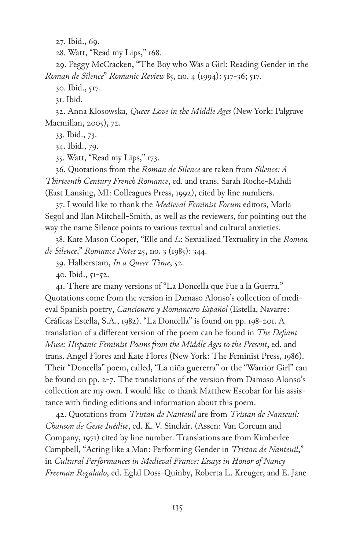27. Ibid., 69.

28. Watt, "Read my Lips," 168.

29. Peggy McCracken, "The Boy who Was a Girl: Reading Gender in the *Roman de Silence*" *Romanic Review* 85, no. 4 (1994): 517-36; 517.

30. Ibid., 517.

31. Ibid.

32. Anna Klosowska, *Queer Love in the Middle Ages* (New York: Palgrave Macmillan, 2005), 72.

33. Ibid., 73.

34. Ibid., 79.

35. Watt, "Read my Lips," 173.

36. Quotations from the *Roman de Silence* are taken from *Silence: A Thirteenth Century French Romance*, ed. and trans. Sarah Roche-Mahdi (East Lansing, MI: Colleagues Press, 1992), cited by line numbers.

37. I would like to thank the *Medieval Feminist Forum* editors, Marla Segol and Ilan Mitchell-Smith, as well as the reviewers, for pointing out the way the name Silence points to various textual and cultural anxieties.

38. Kate Mason Cooper, "Elle and *L*: Sexualized Textuality in the *Roman de Silence*," *Romance Notes* 25, no. 3 (1985): 344.

39. Halberstam, *In a Queer Time*, 52.

40. Ibid., 51-52.

41. There are many versions of "La Doncella que Fue a la Guerra." Quotations come from the version in Damaso Alonso's collection of medieval Spanish poetry, *Cancionero y Romancero Español* (Estella, Navarre: Cráficas Estella, S.A., 1982). "La Doncella" is found on pp. 198-201. A translation of a different version of the poem can be found in *The Defiant Muse: Hispanic Feminist Poems from the Middle Ages to the Present*, ed. and trans. Angel Flores and Kate Flores (New York: The Feminist Press, 1986). Their "Doncella" poem, called, "La niña guererra" or the "Warrior Girl" can be found on pp. 2-7. The translations of the version from Damaso Alonso's collection are my own. I would like to thank Matthew Escobar for his assistance with finding editions and information about this poem.

42. Quotations from *Tristan de Nanteuil* are from *Tristan de Nanteuil: Chanson de Geste Inédite*, ed. K. V. Sinclair. (Assen: Van Corcum and Company, 1971) cited by line number. Translations are from Kimberlee Campbell, "Acting like a Man: Performing Gender in *Tristan de Nanteuil*," in *Cultural Performances in Medieval France: Essays in Honor of Nancy Freeman Regalado*, ed. Eglal Doss-Quinby, Roberta L. Kreuger, and E. Jane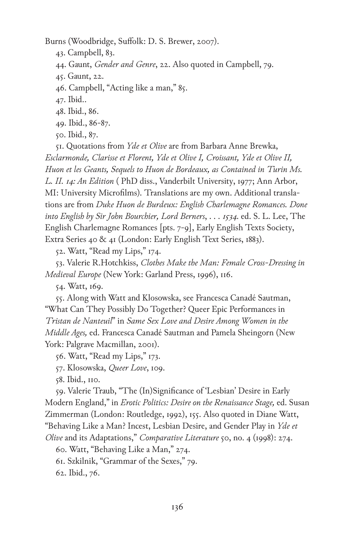Burns (Woodbridge, Suffolk: D. S. Brewer, 2007).

- 43. Campbell, 83.
- 44. Gaunt, *Gender and Genre*, 22. Also quoted in Campbell, 79.
- 45. Gaunt, 22.
- 46. Campbell, "Acting like a man," 85.
- 47. Ibid..
- 48. Ibid., 86.
- 49. Ibid., 86-87.
- 50. Ibid., 87.

51. Quotations from *Yde et Olive* are from Barbara Anne Brewka,

*Esclarmonde, Clarisse et Florent, Yde et Olive I, Croissant, Yde et Olive II, Huon et les Geants, Sequels to Huon de Bordeaux, as Contained in Turin Ms. L. II. 14: An Edition* ( PhD diss., Vanderbilt University, 1977; Ann Arbor, MI: University Microfilms)*.* Translations are my own. Additional translations are from *Duke Huon de Burdeux: English Charlemagne Romances. Done into English by Sir John Bourchier, Lord Berners*, . . . *1534*. ed. S. L. Lee, The English Charlemagne Romances [pts. 7-9], Early English Texts Society, Extra Series 40 & 41 (London: Early English Text Series, 1883).

52. Watt, "Read my Lips," 174.

53. Valerie R.Hotchkiss, *Clothes Make the Man: Female Cross-Dressing in Medieval Europe* (New York: Garland Press, 1996), 116.

54. Watt, 169.

55. Along with Watt and Klosowska, see Francesca Canadé Sautman, "What Can They Possibly Do Together? Queer Epic Performances in *Tristan de Nanteuil*" in *Same Sex Love and Desire Among Women in the Middle Ages,* ed. Francesca Canadé Sautman and Pamela Sheingorn (New York: Palgrave Macmillan, 2001).

56. Watt, "Read my Lips," 173.

57. Klosowska, *Queer Love*, 109.

58. Ibid., 110.

59. Valerie Traub, "The (In)Significance of 'Lesbian' Desire in Early Modern England," in *Erotic Politics: Desire on the Renaissance Stage,* ed. Susan Zimmerman (London: Routledge, 1992), 155. Also quoted in Diane Watt, "Behaving Like a Man? Incest, Lesbian Desire, and Gender Play in *Yde et Olive* and its Adaptations," *Comparative Literature* 50, no. 4 (1998): 274.

60. Watt, "Behaving Like a Man," 274.

61. Szkilnik, "Grammar of the Sexes," 79.

62. Ibid., 76.